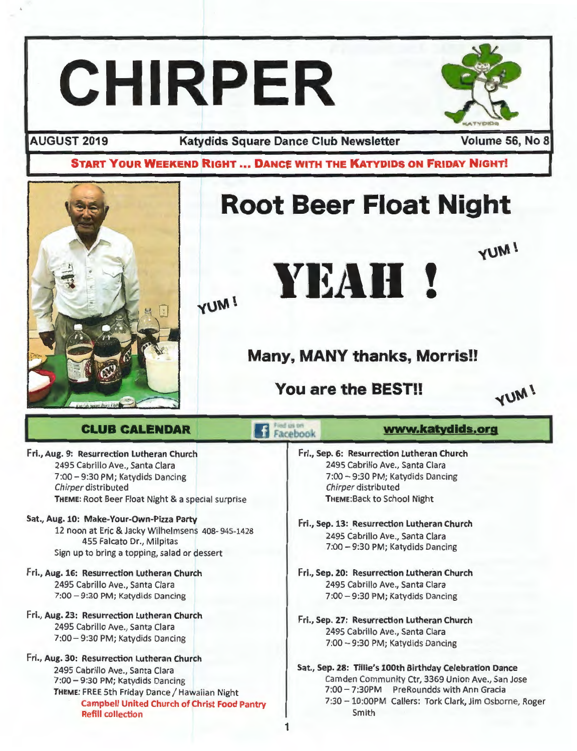# CHIRPER

AUGUST 2019 Katydids Square Dance Club Newsletter Volume 56, No 8

START YOUR WEEKEND RIGHT ... DANCE WITH THE KATYDIDS ON FRIDAY NIGHT!

1

# $\overline{\mathbf{r}}$

# Root Beer Float Night



www.katydlds.org

**YUM!** 

### Many, MANY thanks, Morris!!

You are the BEST!!

YUM!

### CLUB CALENDAR

Fri., Aug. 9: Resurrection Lutheran Church 2495 Cabrillo Ave., Santa Clara 7:00 - 9:30 PM; Katydids Dancing Chirper distributed THEME: Root Beer Float Night & a special surprise

### Sat., Aug. 10: Make-Your-Own-Pizza Party 12 noon at Eric & Jacky Wilhelmsens 408- 945-1428 455 Falcato Dr., Milpitas Sign up to bring a topping, salad or dessert

- Fri., Aug. 16: Resurrection Lutheran Church 2495 Cabrillo Ave., Santa Clara 7:00 - 9:30 PM; Katydids Dancing
- Fri., Aug. 23: Resurrection Lutheran Church 2495 Cabrillo Ave., Santa Clara 7:00 - 9:30 PM; Katydids Dancing
- Fri., Aug. 30: Resurrection Lutheran Church 2495 Cabrillo Ave., Santa Clara 7:00 - 9:30 PM; Katydids Dancing THEME: FREE 5th Friday Dance / Hawaiian Night Campbell United Church of Christ Food Pantry Refill collection
- Facebook Fri., Sep. 6: Resurrection Lutheran Church 2495 Cabrillo Ave., Santa Clara 7:00 - 9:30 PM; Katydids Dancing Chirper distributed THEME: Back to School Night
	- Fri., Sep. 13: Resurrection Lutheran Church 2495 Cabrillo Ave., Santa Clara 7:00 - 9:30 PM; Katydids Dancing
	- Fri., Sep. 20: Resurrection Lutheran Church 2495 Cabrillo Ave., Santa Clara 7:00 - 9:30 PM; Katydids Dancing
	- Fri., Sep. 27: Resurrection Lutheran Church 2495 Cabrillo Ave., Santa Clara 7:00 - 9:30 PM; Katydids Dancing
	- Sat., Sep. 28: Tillie's 100th Birthday Celebration Dance Camden Community Ctr, 3369 Union Ave., San Jose 7:00 - 7:30PM PreRoundds with Ann Gracia 7:30 - 10:00PM Callers: Tork Clark, Jim Osborne, Roger Smith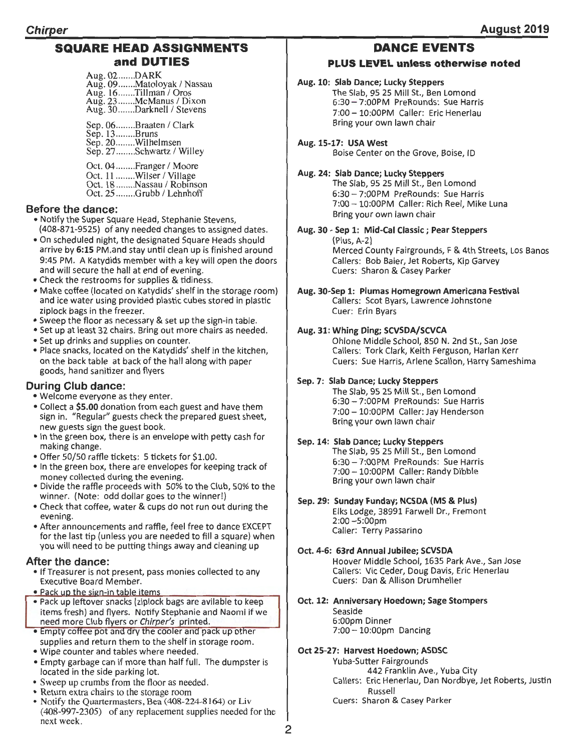### **SQUARE HEAD ASSIGNMENTS and DUTIES**

| Aug. $02$ DARK<br>Aug. 09Matoloyak / Nassau<br>Aug. 16Tillman / Oros<br>Aug. 23McManus / Dixon<br>Aug. 30Darknell / Stevens |
|-----------------------------------------------------------------------------------------------------------------------------|
| Sep. 06Braaten / Clark<br>Sep. 13Bruns<br>Sep. 20Wilhelmsen<br>Sep. 27Schwartz / Willey                                     |
| Oct. 04Franger / Moore<br>Oct. 11 Wilser / Village<br>Oct. 18 Nassau / Robinson<br>Oct. 25 Grubb / Lehnhoff                 |

### **Before the dance:**

- Notify the Super Square Head, Stephanie Stevens, (408-871-9525) of any needed changes to assigned dates.
- On scheduled night, the designated Square Heads should arrive by **6:15** PM.and stay until clean up is finished around 9:45 PM. A Katydids member with a key will open the doors and will secure the hall at end of evening.
- Check the restrooms for supplies & tidiness.
- Make coffee (located on Katydids' shelf in the storage room) and ice water using provided plastic cubes stored in plastic ziplock bags in the freezer.
- Sweep the floor as necessary & set up the sign-in table.
- Set up at least 32 chairs. Bring out more chairs as needed.
- Set up drinks and supplies on counter.
- Place snacks, located on the Katydids' shelf in the kitchen, on the back table at back of the hall along with paper goods, hand sanitizer and flyers

### **During Club dance:**

- Welcome everyone as they enter.
- Collect a **\$5.00** donation from each guest and have them sign in. "Regular" guests check the prepared guest sheet, new guests sign the guest book.
- In the green box, there is an envelope with petty cash for making change.
- •Offer 50/50 raffle tickets: 5 tickets for \$1.00.
- In the green box, there are envelopes for keeping track of money collected during the evening.
- Divide the raffle proceeds with 50% to the Club, 50% to the winner. (Note: odd dollar goes to the winner!)
- •Check that coffee, water & cups do not run out during the evening.
- After announcements and raffle, feel free to dance EXCEPT for the last tip (unless you are needed to fill a square) when you will need to be putting things away and cleaning up

### **After the dance:**

- If Treasurer is not present, pass monies collected to any Executive Board Member.
- . Pack up the sign-in table items
- Pack up leftover snacks (ziplock bags are avilable to keep items fresh) and flyers. Notify Stephanie and Naomi if we need more Club flyers or Chirper's printed.
- Empty coffee pot and dry the cooler and pack up other supplies and return them to the shelf in storage room.
- Wipe counter and tables where needed.
- Empty garbage can if more than half full. The dumpster is located in the side parking lot.
- Sweep up crumbs from the floor as needed.<br>• Return extra chairs to the storage room
- 
- Notify the Quartermasters, Bea (408-224-8164) or Liv (408-997-2305) of any replacement supplies needed for the next week.

### **DANCE EVENTS**

### **PLUS LEVEL unless otherwise noted**

### **Aug. 10: Slab Dance; Lucky Steppers**

The Slab, 95 25 Mill St., Ben Lomond 6:30 - 7:00PM PreRounds: Sue Harris 7:00 - lO:OOPM Caller: Eric Henerlau Bring your own lawn chair

**Aug.15-17: USA West**  Boise Center on the Grove, Boise, ID

### **Aug. 24: Slab Dance; Lucky Steppers**

The Slab, 95 25 Mill St., Ben Lomond 6:30- 7:00PM PreRounds: Sue Harris 7:00 - 10:00PM Caller: Rich Reel, Mike Luna Bring your own lawn chair

### **Aug. 30 - Sep 1: Mid-Cal Classic; Pear Steppers**  (Plus, A-2)

Merced County Fairgrounds, F & 4th Streets, Los Banos Callers: Bob Baier, Jet Roberts, Kip Garvey Cuers: Sharon & Casey Parker

### **Aug. 30-Sep 1: Plumas Homegrown Americana Festival**  Callers: Scot Byars, Lawrence Johnstone Cuer: Erin Byars

### **Aug. 31: Whing Ding; SCVSDA/SCVCA**

Ohlone Middle School, 850 N. 2nd St., San Jose Callers: Tork Clark, Keith Ferguson, Harlan Kerr Cuers: Sue Harris, Arlene Scallon, Harry Sameshima

### **Sep. 7: Slab Dance; Lucky Steppers**

The Slab, 95 25 Mill St., Ben Lomond 6:30 - 7:00PM PreRounds: Sue Harris 7:00 - 10:00PM Caller: Jay Henderson Bring your own lawn chair

### **Sep. 14: Slab Dance; Lucky Steppers**

The Slab, 95 25 Mill St., Ben Lomond 6:30 - 7:00PM PreRounds: Sue Harris 7:00 - 10:00PM Caller: Randy Dibble Bring your own lawn chair

### **Sep. 29: Sunday Funday; NCSDA (MS & Plus)**

Elks Lodge, 38991 Farwell Dr., Fremont 2:00-5:00pm Caller: Terry Passarino

### **Oct. 4-6: 63rd Annual Jubilee; SCVSDA**

Hoover Middle School, 1635 Park Ave., San Jose Callers: Vic Ceder, Doug Davis, Eric Henerlau Cuers: Dan & Allison Drumheller

### **Oct. 12: Anniversary Hoedown; Sage Stompers**

Seaside 6:00pm Dinner 7:00 - 10:00pm Dancing

### **Oct 25-27: Harvest Hoedown; ASDSC**

Yuba-Sutter Fairgrounds 442 Franklin Ave., Yuba City Callers: Eric Henerlau, Dan Nordbye, Jet Roberts, Justin Russell Cuers: Sharon & Casey Parker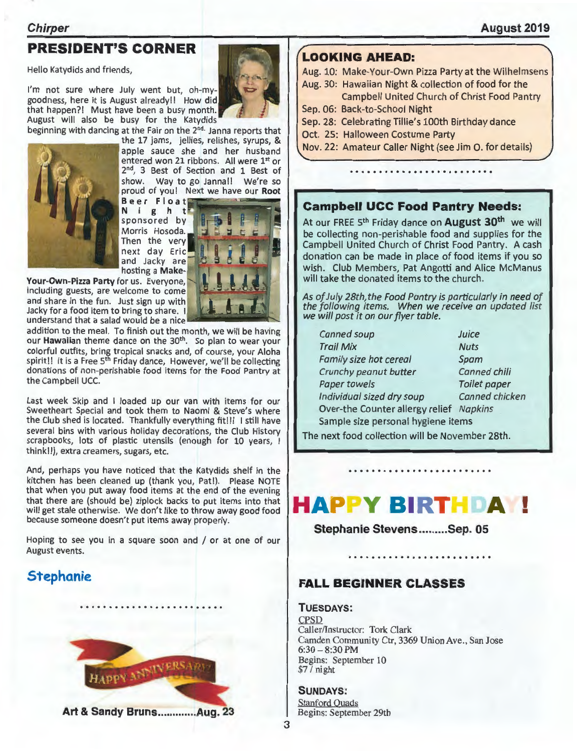### **Chirper**

### PRESIDENT'S CORNER

Hello Katydids and friends,

I'm not sure where July went but, oh-mygoodness, here it is August already!! How did that happen?! Must have been a busy month. August will also be busy for the Katydids





the 17 jams, jellies, relishes, syrups, & apple sauce she and her husband entered won 21 ribbons. All were 1st or 2<sup>nd</sup>, 3 Best of Section and 1 Best of show. Way to go Janna!! We're so proud of you! Next we have our Root

Beer Float i g h t sponsored by Morris Hosoda. Then the very next day Eric and Jacky are hosting a Make-

Your-Own-Pizza Party for us. Everyone, including guests, are welcome to come and share in the fun. Just sign up with Including guests, are welcome to come<br>and share in the fun. Just sign up with<br>Jacky for a food item to bring to share.<br>Inderstand that a salad would be a nice understand that a salad would be a nice

addition to the meal. To finish out the month, we will be having our Hawaiian theme dance on the 30<sup>th</sup>. So plan to wear your colorful outfits, bring tropical snacks and, of course, your Aloha spirit!! It is a Free 5<sup>th</sup> Friday dance, However, we'll be collecting donations of non-perishable food items for the Food Pantry at the Campbell UCC.

Last week Skip and I loaded up our van with items for our Sweetheart Special and took them to Naomi & Steve's where the Club shed is located. Thankfully everything fit!!! I still have several bins with various holiday decorations, the Club History scrapbooks, lots of plastic utensils (enough for 10 years, think!!), extra creamers, sugars, etc.

And, perhaps you have noticed that the Katydids shelf in the kitchen has been cleaned up (thank you, Pat!). Please NOTE that when you put away food items at the end of the evening that there are (should be) ziplock backs to put items into that will get stale otherwise. We don't like to throw away good food because someone doesn't put items away properly.

Hoping to see you in a square soon and / or at one of our August events.

### Stephanie



### LOOKING AHEAD:

Aug. 10: Make-Your-Own Pizza Party at the Wilhelmsens

- Aug. 30: Hawaiian Night & collection of food for the
	- Campbell United Church of Christ Food Pantry
- Sep. 06: Back-to-School Night
- Sep. 28: Celebrating Tillie's 100th Birthday dance
- Oct. 25: Halloween Costume Party
- Nov. 22: Amateur Caller Night (see Jim 0. for details)

### Campbell UCC Food Pantry Needs:

At our FREE 5<sup>th</sup> Friday dance on **August 30<sup>th</sup>** we will be collecting non-perishable food and supplies for the Campbell United Church of Christ Food Pantry. A cash donation can be made in place of food items if you so wish. Club Members, Pat Angotti and Alice McManus will take the donated items to the church.

As of July 28th, the Food Pantry is particularly in need of the following items. When we receive an updated list we will post it on our flyer table.

Canned soup Suice **Trail Mix** Nuts Family size hot cereal Spam Crunchy peanut butter Canned chili Paper towels Toilet paper Individual sized dry soup Canned chicken Over-the Counter allergy relief Napkins Sample size personal hygiene items

The next food collection will be November 28th.

### **HAPPY BIRTHDAM!** •

Stephanie Stevens ......... Sep. 05

### FALL BEGINNER CLASSES

TUESDAYS: CPSD Caller/Instructor: Tork Clark Camden Community Ctr, 3369 Union Ave., San Jose  $6:30 - 8:30$  PM Begins: September 10  $$7/$  night

SUNDAYS: Stanford Quads Begins: September 29th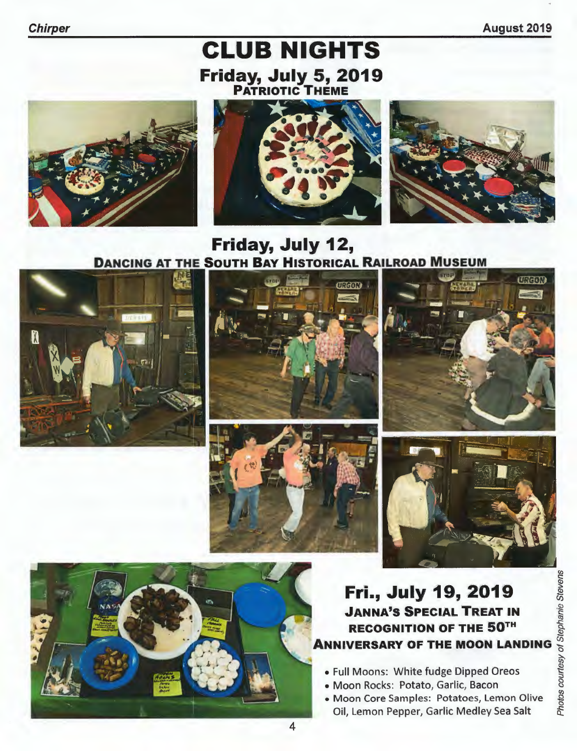August 2019

## CLUB NIGHTS Friday, July 5, 2019





### Friday, July 12, DANCING AT THE SOUTH BAY HISTORICAL RAILROAD MUSEUM













# Fri., July 19, 2019 **Fri., July 19, 2019**<br>JANNA'S SPECIAL TREAT IN<br>RECOGNITION OF THE 50<sup>TH</sup><br>IVERSARY OF THE MOON LANDING S SANDING S<br>III Moons: White fudge Dipped Oreos<br>oon Rocks: Potato, Garlic, Bacon<br>oon Core Samples: Potatoes, Lemon Olive RECOGNITION OF THE 50TH **ANNIVERSARY OF THE MOON LANDING**

- Full Moons: White fudge Dipped Oreos
- Moon Rocks: Potato, Garlic, Bacon
- Moon Core Samples: Potatoes, Lemon Olive Oil, Lemon Pepper, Garlic Medley Sea Salt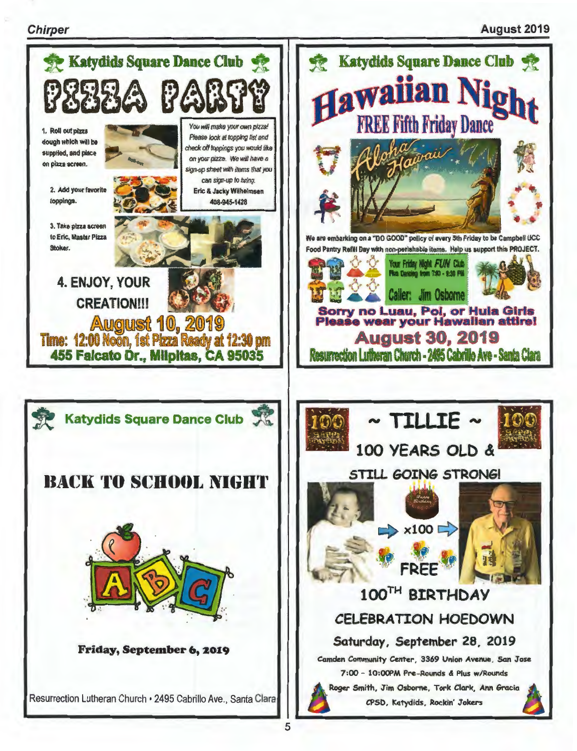### **Chirper**

### **August 2019**